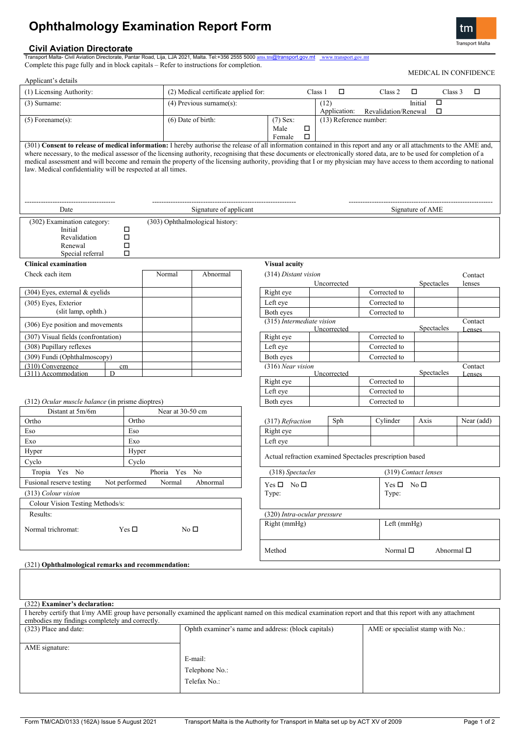# **Ophthalmology Examination Report Form**

**Civil Aviation Directorate** Transport Malta- Civil Aviation Directorate, Pantar Road, Lija, LJA 2021, Malta. Tel:+356 2555 5000 [ams.tm](mailto:ams.tm)@transport.gov.mt [www.transport.gov.mt](http://www.transport.gov.mt/)

Complete this page fully and in block capitals – Refer to instructions for completion.

| Applicant's details                                                                                                                                                                                                                                                                                                                                                                                                                                                                                                                                                                        |                                      |                                          |                                          |        |             |              |                                                          |                  |                    | MEDICAL IN CONFIDENCE |  |
|--------------------------------------------------------------------------------------------------------------------------------------------------------------------------------------------------------------------------------------------------------------------------------------------------------------------------------------------------------------------------------------------------------------------------------------------------------------------------------------------------------------------------------------------------------------------------------------------|--------------------------------------|------------------------------------------|------------------------------------------|--------|-------------|--------------|----------------------------------------------------------|------------------|--------------------|-----------------------|--|
| (1) Licensing Authority:                                                                                                                                                                                                                                                                                                                                                                                                                                                                                                                                                                   | (2) Medical certificate applied for: |                                          |                                          |        | Class 1     | $\Box$       | Class 2                                                  | □                | Class 3            | $\Box$                |  |
| $(3)$ Surname:                                                                                                                                                                                                                                                                                                                                                                                                                                                                                                                                                                             | $(4)$ Previous surname $(s)$ :       |                                          |                                          |        | (12)        | Application: | Revalidation/Renewal                                     | Initial          | $\Box$<br>□        |                       |  |
| $(5)$ Forename $(s)$ :                                                                                                                                                                                                                                                                                                                                                                                                                                                                                                                                                                     | (6) Date of birth:                   |                                          | $(7)$ Sex:<br>Male<br>Female             | □<br>□ |             |              | (13) Reference number:                                   |                  |                    |                       |  |
| (301) Consent to release of medical information: I hereby authorise the release of all information contained in this report and any or all attachments to the AME and,<br>where necessary, to the medical assessor of the licensing authority, recognising that these documents or electronically stored data, are to be used for completion of a<br>medical assessment and will become and remain the property of the licensing authority, providing that I or my physician may have access to them according to national<br>law. Medical confidentiality will be respected at all times. |                                      |                                          |                                          |        |             |              |                                                          |                  |                    |                       |  |
| Date                                                                                                                                                                                                                                                                                                                                                                                                                                                                                                                                                                                       | Signature of applicant               |                                          |                                          |        |             |              |                                                          | Signature of AME |                    |                       |  |
| (302) Examination category:<br>Initial<br>□<br>Revalidation<br>□<br>□<br>Renewal<br>□<br>Special referral                                                                                                                                                                                                                                                                                                                                                                                                                                                                                  | (303) Ophthalmological history:      |                                          |                                          |        |             |              |                                                          |                  |                    |                       |  |
| <b>Clinical examination</b>                                                                                                                                                                                                                                                                                                                                                                                                                                                                                                                                                                |                                      |                                          | <b>Visual acuity</b>                     |        |             |              |                                                          |                  |                    |                       |  |
| Check each item                                                                                                                                                                                                                                                                                                                                                                                                                                                                                                                                                                            | Normal<br>Abnormal                   |                                          | (314) Distant vision                     |        | Uncorrected |              |                                                          |                  | Spectacles         | Contact<br>lenses     |  |
| (304) Eyes, external & eyelids                                                                                                                                                                                                                                                                                                                                                                                                                                                                                                                                                             |                                      |                                          | Right eye                                |        |             |              | Corrected to                                             |                  |                    |                       |  |
| (305) Eyes, Exterior                                                                                                                                                                                                                                                                                                                                                                                                                                                                                                                                                                       |                                      |                                          | Left eye                                 |        |             |              | Corrected to                                             |                  |                    |                       |  |
| (slit lamp, ophth.)                                                                                                                                                                                                                                                                                                                                                                                                                                                                                                                                                                        |                                      |                                          | Both eyes                                |        |             |              | Corrected to                                             |                  |                    |                       |  |
| (306) Eye position and movements                                                                                                                                                                                                                                                                                                                                                                                                                                                                                                                                                           |                                      |                                          | (315) Intermediate vision                |        | Uncorrected |              |                                                          |                  | Spectacles         | Contact<br>Lenses     |  |
| (307) Visual fields (confrontation)                                                                                                                                                                                                                                                                                                                                                                                                                                                                                                                                                        |                                      |                                          | Right eye                                |        |             |              | Corrected to                                             |                  |                    |                       |  |
| (308) Pupillary reflexes                                                                                                                                                                                                                                                                                                                                                                                                                                                                                                                                                                   |                                      |                                          | Left eye                                 |        |             |              | Corrected to                                             |                  |                    |                       |  |
| (309) Fundi (Ophthalmoscopy)                                                                                                                                                                                                                                                                                                                                                                                                                                                                                                                                                               |                                      |                                          | Both eyes                                |        |             |              | Corrected to                                             |                  |                    |                       |  |
| $(310)$ Convergence<br>cm<br>(311) Accommodation<br>$\overline{D}$                                                                                                                                                                                                                                                                                                                                                                                                                                                                                                                         |                                      |                                          | (316) Near vision                        |        | Uncorrected |              |                                                          |                  | Spectacles         | Contact               |  |
|                                                                                                                                                                                                                                                                                                                                                                                                                                                                                                                                                                                            |                                      |                                          | Right eye                                |        |             |              | Corrected to                                             |                  |                    | Lenses                |  |
|                                                                                                                                                                                                                                                                                                                                                                                                                                                                                                                                                                                            |                                      |                                          | Left eye                                 |        |             |              | Corrected to                                             |                  |                    |                       |  |
| (312) Ocular muscle balance (in prisme dioptres)                                                                                                                                                                                                                                                                                                                                                                                                                                                                                                                                           |                                      |                                          | Both eyes                                |        |             |              | Corrected to                                             |                  |                    |                       |  |
| Distant at 5m/6m                                                                                                                                                                                                                                                                                                                                                                                                                                                                                                                                                                           | Near at 30-50 cm                     |                                          |                                          |        |             |              |                                                          |                  |                    |                       |  |
| Ortho<br>Ortho                                                                                                                                                                                                                                                                                                                                                                                                                                                                                                                                                                             |                                      |                                          | (317) Refraction                         |        |             | Sph          | Cylinder                                                 | Axis             |                    | Near (add)            |  |
| Eso<br>Eso                                                                                                                                                                                                                                                                                                                                                                                                                                                                                                                                                                                 |                                      |                                          | Right eye                                |        |             |              |                                                          |                  |                    |                       |  |
| Exo<br>Exo                                                                                                                                                                                                                                                                                                                                                                                                                                                                                                                                                                                 |                                      |                                          | Left eye                                 |        |             |              |                                                          |                  |                    |                       |  |
| Hyper<br>Hyper                                                                                                                                                                                                                                                                                                                                                                                                                                                                                                                                                                             |                                      |                                          |                                          |        |             |              |                                                          |                  |                    |                       |  |
| Cyclo<br>Cyclo                                                                                                                                                                                                                                                                                                                                                                                                                                                                                                                                                                             |                                      |                                          |                                          |        |             |              | Actual refraction examined Spectacles prescription based |                  |                    |                       |  |
| Tropia Yes No<br>Phoria                                                                                                                                                                                                                                                                                                                                                                                                                                                                                                                                                                    |                                      | (319) Contact lenses<br>(318) Spectacles |                                          |        |             |              |                                                          |                  |                    |                       |  |
| Yes<br>Not performed<br>Fusional reserve testing<br>Normal<br>Abnormal                                                                                                                                                                                                                                                                                                                                                                                                                                                                                                                     |                                      |                                          | $Yes \Box No \Box$<br>$Yes \Box No \Box$ |        |             |              |                                                          |                  |                    |                       |  |
| (313) Colour vision                                                                                                                                                                                                                                                                                                                                                                                                                                                                                                                                                                        |                                      |                                          | Type:<br>Type:                           |        |             |              |                                                          |                  |                    |                       |  |
| Colour Vision Testing Methods/s:                                                                                                                                                                                                                                                                                                                                                                                                                                                                                                                                                           |                                      |                                          |                                          |        |             |              |                                                          |                  |                    |                       |  |
| Results:                                                                                                                                                                                                                                                                                                                                                                                                                                                                                                                                                                                   |                                      |                                          | (320) Intra-ocular pressure              |        |             |              |                                                          |                  |                    |                       |  |
| Normal trichromat:<br>Yes $\Box$<br>No $\square$                                                                                                                                                                                                                                                                                                                                                                                                                                                                                                                                           |                                      |                                          | Right (mmHg)                             |        |             |              |                                                          | Left (mmHg)      |                    |                       |  |
|                                                                                                                                                                                                                                                                                                                                                                                                                                                                                                                                                                                            |                                      |                                          | Method                                   |        |             |              | Normal $\square$                                         |                  | Abnormal $\square$ |                       |  |
| (321) Ophthalmological remarks and recommendation:                                                                                                                                                                                                                                                                                                                                                                                                                                                                                                                                         |                                      |                                          |                                          |        |             |              |                                                          |                  |                    |                       |  |

| (322) Examiner's declaration:                  |                                                                                                                                                               |                                   |  |  |  |
|------------------------------------------------|---------------------------------------------------------------------------------------------------------------------------------------------------------------|-----------------------------------|--|--|--|
|                                                | I hereby certify that I/my AME group have personally examined the applicant named on this medical examination report and that this report with any attachment |                                   |  |  |  |
| embodies my findings completely and correctly. |                                                                                                                                                               |                                   |  |  |  |
| (323) Place and date:                          | Ophth examiner's name and address: (block capitals)                                                                                                           | AME or specialist stamp with No.: |  |  |  |
|                                                |                                                                                                                                                               |                                   |  |  |  |
| AME signature:                                 |                                                                                                                                                               |                                   |  |  |  |
|                                                | E-mail:                                                                                                                                                       |                                   |  |  |  |
|                                                | Telephone No.:                                                                                                                                                |                                   |  |  |  |
|                                                | Telefax No.:                                                                                                                                                  |                                   |  |  |  |
|                                                |                                                                                                                                                               |                                   |  |  |  |